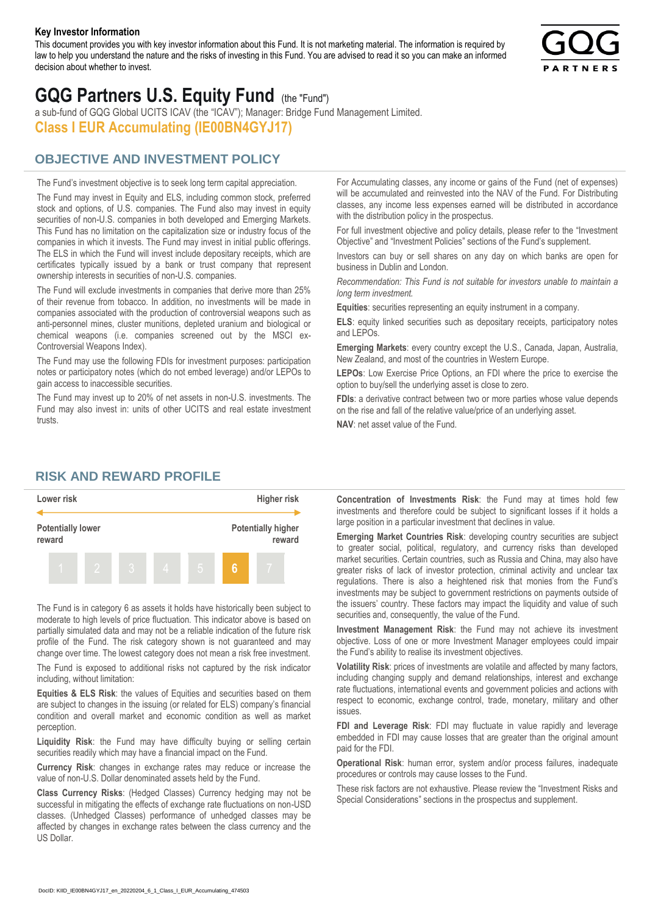#### **Key Investor Information**

This document provides you with key investor information about this Fund. It is not marketing material. The information is required by law to help you understand the nature and the risks of investing in this Fund. You are advised to read it so you can make an informed decision about whether to invest.



# **GQG Partners U.S. Equity Fund** (the "Fund")

a sub-fund of GQG Global UCITS ICAV (the "ICAV"); Manager: Bridge Fund Management Limited. **Class I EUR Accumulating (IE00BN4GYJ17)**

#### **OBJECTIVE AND INVESTMENT POLICY**

The Fund's investment objective is to seek long term capital appreciation. The Fund may invest in Equity and ELS, including common stock, preferred stock and options, of U.S. companies. The Fund also may invest in equity securities of non-U.S. companies in both developed and Emerging Markets. This Fund has no limitation on the capitalization size or industry focus of the companies in which it invests. The Fund may invest in initial public offerings. The ELS in which the Fund will invest include depositary receipts, which are certificates typically issued by a bank or trust company that represent ownership interests in securities of non-U.S. companies.

The Fund will exclude investments in companies that derive more than 25% of their revenue from tobacco. In addition, no investments will be made in companies associated with the production of controversial weapons such as anti-personnel mines, cluster munitions, depleted uranium and biological or chemical weapons (i.e. companies screened out by the MSCI ex-Controversial Weapons Index).

The Fund may use the following FDIs for investment purposes: participation notes or participatory notes (which do not embed leverage) and/or LEPOs to gain access to inaccessible securities.

The Fund may invest up to 20% of net assets in non-U.S. investments. The Fund may also invest in: units of other UCITS and real estate investment trusts.

For Accumulating classes, any income or gains of the Fund (net of expenses) will be accumulated and reinvested into the NAV of the Fund. For Distributing classes, any income less expenses earned will be distributed in accordance with the distribution policy in the prospectus.

For full investment objective and policy details, please refer to the "Investment Objective" and "Investment Policies" sections of the Fund's supplement.

Investors can buy or sell shares on any day on which banks are open for business in Dublin and London.

*Recommendation: This Fund is not suitable for investors unable to maintain a long term investment.*

**Equities**: securities representing an equity instrument in a company.

**ELS**: equity linked securities such as depositary receipts, participatory notes and LEPOs.

**Emerging Markets**: every country except the U.S., Canada, Japan, Australia, New Zealand, and most of the countries in Western Europe.

**LEPOs**: Low Exercise Price Options, an FDI where the price to exercise the option to buy/sell the underlying asset is close to zero.

**FDIs**: a derivative contract between two or more parties whose value depends on the rise and fall of the relative value/price of an underlying asset.

**NAV**: net asset value of the Fund.

#### **RISK AND REWARD PROFILE**



The Fund is in category 6 as assets it holds have historically been subject to moderate to high levels of price fluctuation. This indicator above is based on partially simulated data and may not be a reliable indication of the future risk profile of the Fund. The risk category shown is not guaranteed and may change over time. The lowest category does not mean a risk free investment.

The Fund is exposed to additional risks not captured by the risk indicator including, without limitation:

**Equities & ELS Risk**: the values of Equities and securities based on them are subject to changes in the issuing (or related for ELS) company's financial condition and overall market and economic condition as well as market perception.

**Liquidity Risk**: the Fund may have difficulty buying or selling certain securities readily which may have a financial impact on the Fund.

**Currency Risk**: changes in exchange rates may reduce or increase the value of non-U.S. Dollar denominated assets held by the Fund.

**Class Currency Risks**: (Hedged Classes) Currency hedging may not be successful in mitigating the effects of exchange rate fluctuations on non-USD classes. (Unhedged Classes) performance of unhedged classes may be affected by changes in exchange rates between the class currency and the US Dollar.

**Concentration of Investments Risk**: the Fund may at times hold few investments and therefore could be subject to significant losses if it holds a large position in a particular investment that declines in value.

**Emerging Market Countries Risk**: developing country securities are subject to greater social, political, regulatory, and currency risks than developed market securities. Certain countries, such as Russia and China, may also have greater risks of lack of investor protection, criminal activity and unclear tax regulations. There is also a heightened risk that monies from the Fund's investments may be subject to government restrictions on payments outside of the issuers' country. These factors may impact the liquidity and value of such securities and, consequently, the value of the Fund.

**Investment Management Risk**: the Fund may not achieve its investment objective. Loss of one or more Investment Manager employees could impair the Fund's ability to realise its investment objectives.

**Volatility Risk**: prices of investments are volatile and affected by many factors, including changing supply and demand relationships, interest and exchange rate fluctuations, international events and government policies and actions with respect to economic, exchange control, trade, monetary, military and other issues.

**FDI and Leverage Risk**: FDI may fluctuate in value rapidly and leverage embedded in FDI may cause losses that are greater than the original amount paid for the FDI.

**Operational Risk**: human error, system and/or process failures, inadequate procedures or controls may cause losses to the Fund.

These risk factors are not exhaustive. Please review the "Investment Risks and Special Considerations" sections in the prospectus and supplement.